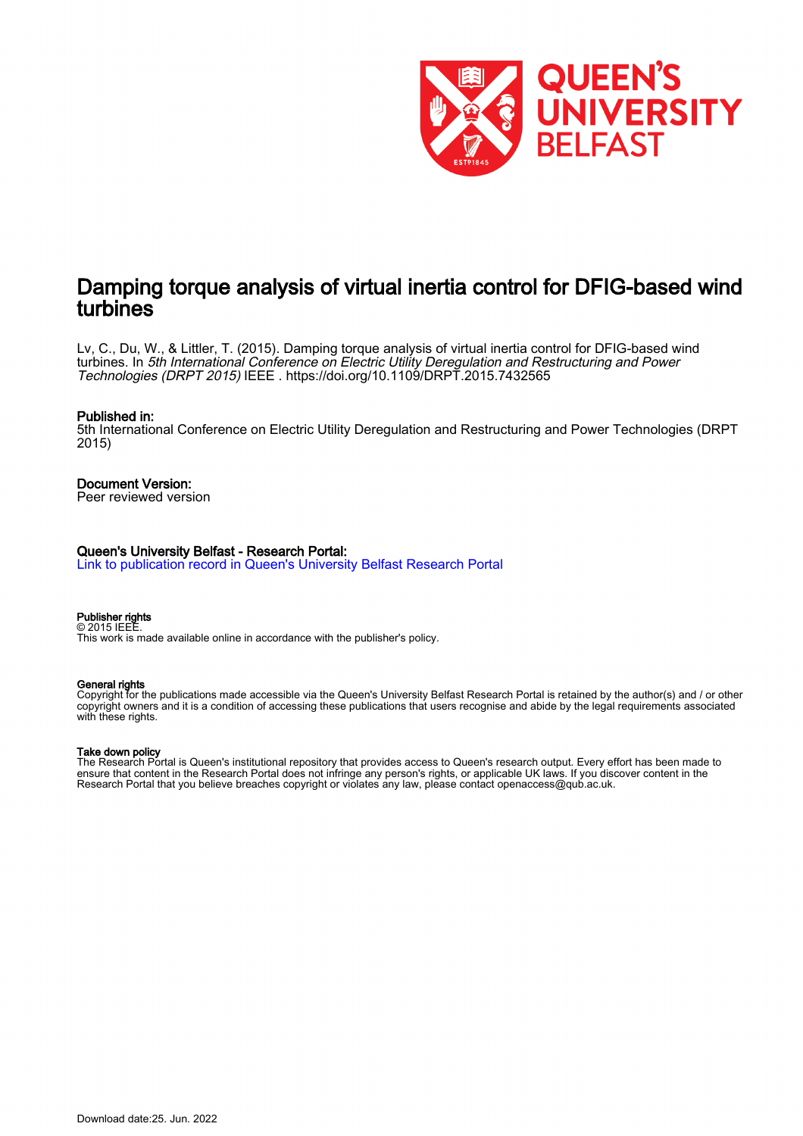

# Damping torque analysis of virtual inertia control for DFIG-based wind turbines

Lv, C., Du, W., & Littler, T. (2015). Damping torque analysis of virtual inertia control for DFIG-based wind turbines. In 5th International Conference on Electric Utility Deregulation and Restructuring and Power Technologies (DRPT 2015) IEEE . <https://doi.org/10.1109/DRPT.2015.7432565>

#### Published in:

5th International Conference on Electric Utility Deregulation and Restructuring and Power Technologies (DRPT 2015)

# Document Version:

Peer reviewed version

#### Queen's University Belfast - Research Portal:

[Link to publication record in Queen's University Belfast Research Portal](https://pure.qub.ac.uk/en/publications/ccaefd5f-3f48-419c-99ce-bb7860f07737)

#### Publisher rights © 2015 IEEE.

This work is made available online in accordance with the publisher's policy.

#### General rights

Copyright for the publications made accessible via the Queen's University Belfast Research Portal is retained by the author(s) and / or other copyright owners and it is a condition of accessing these publications that users recognise and abide by the legal requirements associated with these rights.

#### Take down policy

The Research Portal is Queen's institutional repository that provides access to Queen's research output. Every effort has been made to ensure that content in the Research Portal does not infringe any person's rights, or applicable UK laws. If you discover content in the Research Portal that you believe breaches copyright or violates any law, please contact openaccess@qub.ac.uk.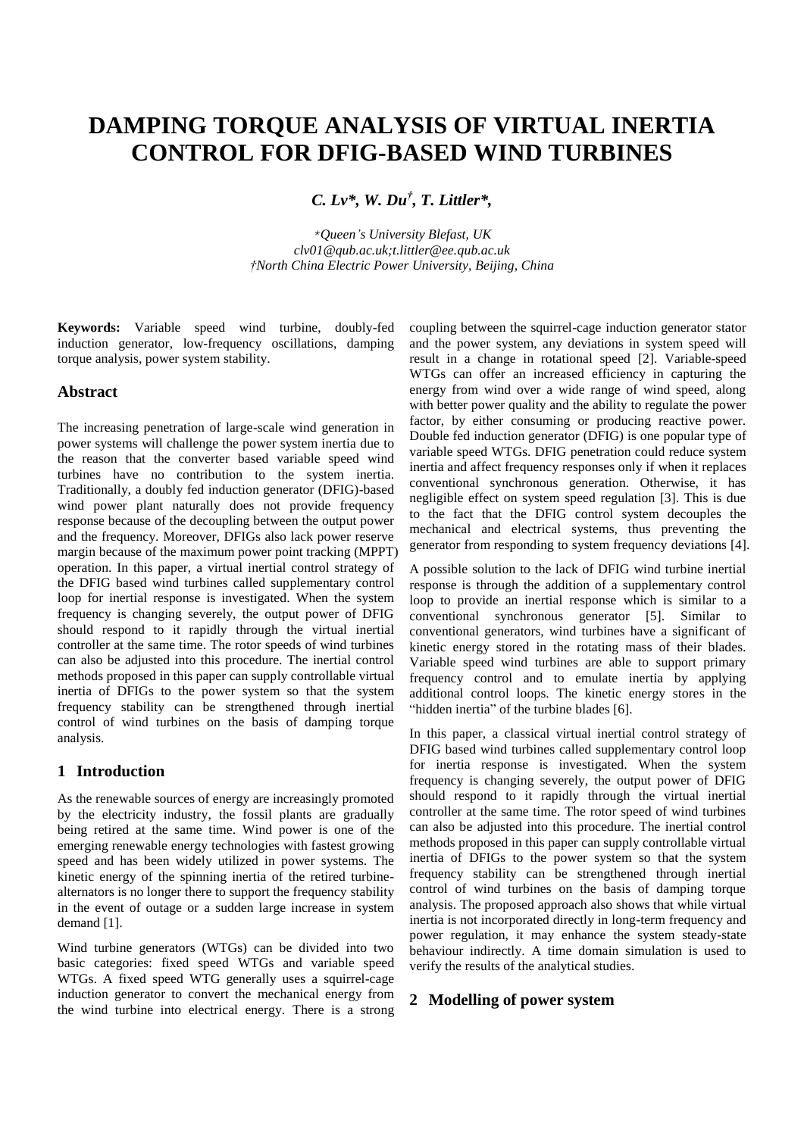# **DAMPING TORQUE ANALYSIS OF VIRTUAL INERTIA CONTROL FOR DFIG-BASED WIND TURBINES**

*C. Lv\*, W. Du † , T. Littler\*,* 

*\*Queen's University Blefast, UK clv01@qub.ac.uk;t.littler@ee.qub.ac.uk †North China Electric Power University, Beijing, China*

**Keywords:** Variable speed wind turbine, doubly-fed induction generator, low-frequency oscillations, damping torque analysis, power system stability.

# **Abstract**

The increasing penetration of large-scale wind generation in power systems will challenge the power system inertia due to the reason that the converter based variable speed wind turbines have no contribution to the system inertia. Traditionally, a doubly fed induction generator (DFIG)-based wind power plant naturally does not provide frequency response because of the decoupling between the output power and the frequency. Moreover, DFIGs also lack power reserve margin because of the maximum power point tracking (MPPT) operation. In this paper, a virtual inertial control strategy of the DFIG based wind turbines called supplementary control loop for inertial response is investigated. When the system frequency is changing severely, the output power of DFIG should respond to it rapidly through the virtual inertial controller at the same time. The rotor speeds of wind turbines can also be adjusted into this procedure. The inertial control methods proposed in this paper can supply controllable virtual inertia of DFIGs to the power system so that the system frequency stability can be strengthened through inertial control of wind turbines on the basis of damping torque analysis.

# **1 Introduction**

As the renewable sources of energy are increasingly promoted by the electricity industry, the fossil plants are gradually being retired at the same time. Wind power is one of the emerging renewable energy technologies with fastest growing speed and has been widely utilized in power systems. The kinetic energy of the spinning inertia of the retired turbinealternators is no longer there to support the frequency stability in the event of outage or a sudden large increase in system demand [1].

Wind turbine generators (WTGs) can be divided into two basic categories: fixed speed WTGs and variable speed WTGs. A fixed speed WTG generally uses a squirrel-cage induction generator to convert the mechanical energy from the wind turbine into electrical energy. There is a strong coupling between the squirrel-cage induction generator stator and the power system, any deviations in system speed will result in a change in rotational speed [2]. Variable-speed WTGs can offer an increased efficiency in capturing the energy from wind over a wide range of wind speed, along with better power quality and the ability to regulate the power factor, by either consuming or producing reactive power. Double fed induction generator (DFIG) is one popular type of variable speed WTGs. DFIG penetration could reduce system inertia and affect frequency responses only if when it replaces conventional synchronous generation. Otherwise, it has negligible effect on system speed regulation [3]. This is due to the fact that the DFIG control system decouples the mechanical and electrical systems, thus preventing the generator from responding to system frequency deviations [4].

A possible solution to the lack of DFIG wind turbine inertial response is through the addition of a supplementary control loop to provide an inertial response which is similar to a conventional synchronous generator [5]. Similar to conventional generators, wind turbines have a significant of kinetic energy stored in the rotating mass of their blades. Variable speed wind turbines are able to support primary frequency control and to emulate inertia by applying additional control loops. The kinetic energy stores in the "hidden inertia" of the turbine blades [6].

In this paper, a classical virtual inertial control strategy of DFIG based wind turbines called supplementary control loop for inertia response is investigated. When the system frequency is changing severely, the output power of DFIG should respond to it rapidly through the virtual inertial controller at the same time. The rotor speed of wind turbines can also be adjusted into this procedure. The inertial control methods proposed in this paper can supply controllable virtual inertia of DFIGs to the power system so that the system frequency stability can be strengthened through inertial control of wind turbines on the basis of damping torque analysis. The proposed approach also shows that while virtual inertia is not incorporated directly in long-term frequency and power regulation, it may enhance the system steady-state behaviour indirectly. A time domain simulation is used to verify the results of the analytical studies.

# **2 Modelling of power system**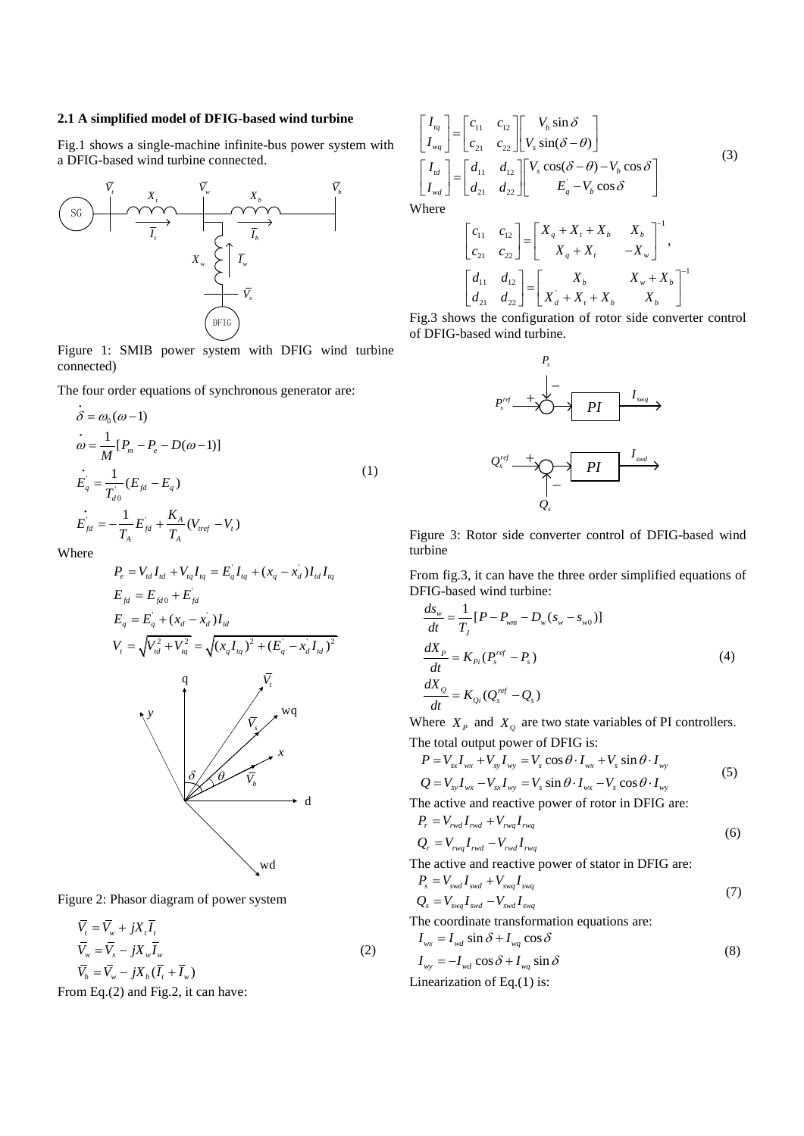#### **2.1 A simplified model of DFIG-based wind turbine**

Fig.1 shows a single-machine infinite-bus power system with a DFIG-based wind turbine connected.



Figure 1: SMIB power system with DFIG wind turbine connected)

The four order equations of synchronous generator are:

$$
\dot{\delta} = \omega_0 (\omega - 1) \n\dot{\omega} = \frac{1}{M} [P_m - P_e - D(\omega - 1)] \n\dot{E}_q = \frac{1}{T_{d0}} (E_{fd} - E_q) \n\dot{E}_{fd} = -\frac{1}{T_A} E_{fd} + \frac{K_A}{T_A} (V_{ref} - V_t)
$$
\n(1)

Where

$$
P_e = V_{td}I_{td} + V_{tq}I_{tq} = E_qI_{tq} + (x_q - x_d)I_{td}I_{tq}
$$
  
\n
$$
E_{fd} = E_{fd0} + E_{fd}
$$
  
\n
$$
E_q = E_q + (x_d - x_d)I_{td}
$$
  
\n
$$
V_t = \sqrt{V_{td}^2 + V_{td}^2} = \sqrt{(x_qI_{tq})^2 + (E_q - x_dI_{td})^2}
$$
  
\n
$$
V_t = \sqrt{V_{td}^2 + V_{td}^2} = \sqrt{(x_qI_{tq})^2 + (E_q - x_dI_{td})^2}
$$
  
\n
$$
V_q
$$
  
\n
$$
V_q
$$
  
\n
$$
V_q
$$
  
\n
$$
V_q
$$
  
\n
$$
V_q
$$
  
\n
$$
V_q
$$
  
\n
$$
V_q
$$
  
\n
$$
V_q
$$
  
\n
$$
V_q
$$
  
\n
$$
V_q
$$
  
\n
$$
V_q
$$
  
\n
$$
V_q
$$
  
\n
$$
V_q
$$
  
\n
$$
V_q
$$
  
\n
$$
V_q
$$
  
\n
$$
V_q
$$
  
\n
$$
V_q
$$
  
\n
$$
V_q
$$
  
\n
$$
V_q
$$
  
\n
$$
V_q
$$
  
\n
$$
V_q
$$
  
\n
$$
V_q
$$
  
\n
$$
V_q
$$
  
\n
$$
V_q
$$
  
\n
$$
V_q
$$
  
\n
$$
V_q
$$
  
\n
$$
V_q
$$
  
\n
$$
V_q
$$
  
\n
$$
V_q
$$
  
\n
$$
V_q
$$
  
\n
$$
V_q
$$
  
\n
$$
V_q
$$
  
\n
$$
V_q
$$
  
\n
$$
V_q
$$
  
\n
$$
V_q
$$
  
\n
$$
V_q
$$
  
\n
$$
V_q
$$
  
\n
$$
V_q
$$
  
\n<math display="block</math>

Figure 2: Phasor diagram of power system

$$
\overline{V}_t = \overline{V}_w + jX_t \overline{I}_t
$$
\n
$$
\overline{V}_w = \overline{V}_s - jX_w \overline{I}_w
$$
\n
$$
\overline{V}_b = \overline{V}_w - jX_b (\overline{I}_t + \overline{I}_w)
$$
\n(2)

From Eq.(2) and Fig.2, it can have:

$$
\begin{bmatrix}\nI_{tq} \\
I_{wq}\n\end{bmatrix} =\n\begin{bmatrix}\nc_{11} & c_{12} \\
c_{21} & c_{22}\n\end{bmatrix}\n\begin{bmatrix}\nV_b \sin \delta \\
V_s \sin(\delta - \theta)\n\end{bmatrix}
$$
\n
$$
\begin{bmatrix}\nI_{td} \\
I_{wd}\n\end{bmatrix} =\n\begin{bmatrix}\nd_{11} & d_{12} \\
d_{21} & d_{22}\n\end{bmatrix}\n\begin{bmatrix}\nV_s \cos(\delta - \theta) - V_b \cos \delta \\
E_q - V_b \cos \delta\n\end{bmatrix}
$$
\nWhere\n
$$
\begin{bmatrix}\nc_{11} & c_{12} \\
c_{21} & c_{22}\n\end{bmatrix} =\n\begin{bmatrix}\nX_q + X_t + X_b & X_b \\
X_q + X_t & -X_w\n\end{bmatrix}^{-1},
$$
\n
$$
\begin{bmatrix}\nd_{11} & d_{12} \\
d_{21} & d_{22}\n\end{bmatrix} =\n\begin{bmatrix}\nX_b & X_w + X_b \\
X_d + X_t + X_b & X_b\n\end{bmatrix}^{-1}
$$

 $d + X_t + X_b$   $X_b$  $\begin{bmatrix} a_{11} & a_{12} \\ d_{21} & d_{22} \end{bmatrix} = \begin{bmatrix} X_b & X_w \\ X_d + X_t + X_b & X_s \end{bmatrix}$ Fig.3 shows the configuration of rotor side converter control of DFIG-based wind turbine.



Figure 3: Rotor side converter control of DFIG-based wind turbine

From fig.3, it can have the three order simplified equations of DFIG-based wind turbine:

$$
\frac{ds_w}{dt} = \frac{1}{T_J} [P - P_{wm} - D_w (s_w - s_{w0})]
$$
  
\n
$$
\frac{dX_P}{dt} = K_{pi} (P_s^{ref} - P_s)
$$
  
\n
$$
\frac{dX_Q}{dt} = K_{Qi} (Q_s^{ref} - Q_s)
$$
\n(4)

Where  $X_p$  and  $X_q$  are two state variables of PI controllers.

The total output power of DFIG is:  
\n
$$
P = V_{xx}I_{wx} + V_{xy}I_{wy} = V_s \cos\theta \cdot I_{wx} + V_s \sin\theta \cdot I_{wy}
$$
\n
$$
Q = V_{xy}I_{wx} - V_{sx}I_{wy} = V_s \sin\theta \cdot I_{wx} - V_s \cos\theta \cdot I_{wy}
$$
\nThe active and reactive power of rotor in DFIG are:  
\n
$$
P_r = V_{rwd}I_{rwd} + V_{rwq}I_{rwq}
$$
\n(6)

$$
Q_r = V_{rwq} I_{rwd} - V_{rwd} I_{rwq}
$$
\n(6)

The active and reactive power of stator in DFIG are:

$$
P_s = V_{swd} I_{swd} + V_{swq} I_{swq}
$$
  
\n
$$
Q_s = V_{swq} I_{swd} - V_{swd} I_{swq}
$$
\n(7)

The coordinate transformation equations are:

 $I_{wx} = I_{wd} \sin \delta + I_{wq} \cos \delta$ 

$$
I_{wy} = -I_{wd} \cos \delta + I_{wq} \sin \delta
$$
 (8)

 $(8)$ 

Linearization of Eq.(1) is: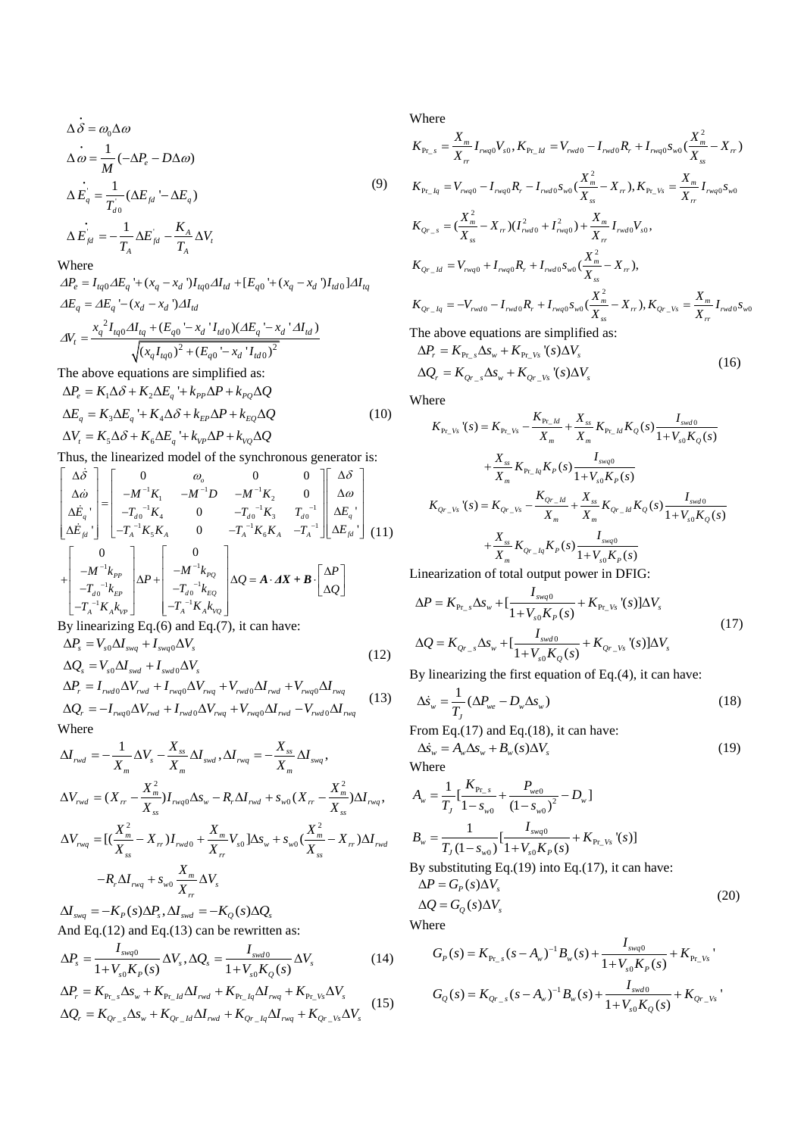$$
\begin{aligned}\n\dot{\Delta \delta} &= \omega_0 \Delta \omega \\
\Delta \omega &= \frac{1}{M} (-\Delta P_e - D\Delta \omega) \\
\Delta E_q &= \frac{1}{T_{d0}} (\Delta E_{fd} - \Delta E_q) \\
\Delta E_{fd} &= -\frac{1}{T_A} \Delta E_{fd} - \frac{K_A}{T_A} \Delta V_t\n\end{aligned} \tag{9}
$$

Where

 $^{A}$ <br>  $^{A}$ <sub>0</sub> $\Delta E_q$ <sup>'</sup> + (x<sub>q</sub> - x<sub>d</sub> ') $I_{tq0}\Delta I_{td}$  + [ $E_{q0}$ <sup>'</sup> + (x<sub>q</sub> - x<sub>d</sub> ') $I_{td0}$ ]  $^{2}I_{tq0}\Delta I_{tq} + (E_{q0} - x_{d})I_{td0}$  $\frac{z_{q0} - x_d \cdot T_{td0} ( \Delta E_q - z)}{z_{0}^2 + (E_{q0} - x_d \cdot T_{td0} )^2}$ There<br>  $P_e = I_{tq0} \Delta E_q + (x_q - x_d) I_{tq0} \Delta I_{td} + [E_{q0} + (x_q - x_d) I_{td0}] \Delta I_{td}$ <br>  $E_q = \Delta E_q - (x_d - x_d) \Delta I_{td}$  $(x_d$ ') $\Delta I_{td}$ <br> $(E_{q0} - x_d$ ' $I_{td0}) (\Delta E_q - x_d$ ' $\Delta I_{td})$  $\gamma_t = \frac{x_q^2 I_{tq0} A I_{tq} + (E_{q0} - x_d \cdot I_{td0}) (A E_q - x_d \cdot A I_{td0})}{\sqrt{(x_q I_{tq0})^2 + (E_{q0} - x_d \cdot I_{td0})^2}}$  $\Delta E_a = \Delta E_a - (x_d - x_d) \Delta I_{td}$  $P_e = I_{tq0} \Delta E_q$ <sup>'</sup>+( $x_q - x_d$ ')<br>  $E_q = \Delta E_q$ <sup>'</sup>-( $x_d - x_d$ ') $\Delta I$  $E_q = \Delta E_q - (x_d - x_d) \Delta I_{td}$ <br>  $W_t = \frac{x_q^2 I_{tq0} \Delta I_{tq} + (E_{q0} - x_d) I_{td0} (\Delta E_q - x_d) \Delta I_{td0}}{I_{tq0} - I_{td0} \Delta I_{td0}}$  $\frac{1}{(1 + (E_{q0} - x_d) I_{td0})(\Delta E)}$ <br> $\frac{x_q I_{tq0}}{(1 + (E_{q0} - x_d) I_{td0})}$ Where<br>  $\Delta P_e = I_{tq0} \Delta E_q + (x_q - x_d) I_{tq0} \Delta I_{td} + [E_{q0} + (x_q - x_d) I_{td0}] \Delta I_{tq}$  $\Delta P_e = I_{tq0} \Delta E_q + (x_q - x_d) I_{tq0} \Delta E$ <br>  $\Delta E_q = \Delta E_q - (x_d - x_d) \Delta I_{td}$  $\Delta E_q = \Delta E_q - (x_d - x_d) \Delta I_{td}$ <br>  $\Delta V_t = \frac{x_q^2 I_{tq0} \Delta I_{tq} + (E_{q0} - x_d) I_{td0} \Delta E_q - x_d \Delta I_{td})}{\Delta V_t}$ re<br>=  $I_{tq0} \Delta E_q$  '+  $(x_q - x_d) I_{tq0} \Delta I_{td}$  +  $[E_{q0}$  '+  $(x_q - x_d) I_{td}$ =  $I_{tq0} \Delta E_q$  '+  $(x_q - x_d)$ <br>=  $\Delta E_q$  '-  $(x_d - x_d) \Delta I_q$  $\frac{-x_d}{I_{td0}}$   $(\Delta E_q)^2$ <br>+  $(E_{q0} - x_d)I_{td0}$ The above equations are simplified as:

The above equations are simplified as:  
\n
$$
\Delta P_e = K_1 \Delta \delta + K_2 \Delta E_q + k_{pp} \Delta P + k_{pq} \Delta Q
$$
\n
$$
\Delta E_q = K_3 \Delta E_q + K_4 \Delta \delta + k_{EP} \Delta P + k_{EQ} \Delta Q
$$
\n
$$
\Delta V_t = K_5 \Delta \delta + K_6 \Delta E_q + k_{VP} \Delta P + k_{VQ} \Delta Q
$$
\n(10)

Thus, the linearized model of the synchronous generator is:  
\n
$$
\begin{bmatrix}\n\Delta \dot{\delta} \\
\Delta \dot{\omega} \\
\Delta \dot{E}_{q} \\
\Delta \dot{E}_{q} \\
\Delta \dot{E}_{H}^{\dagger}\n\end{bmatrix} = \begin{bmatrix}\n0 & \omega_{o} & 0 & 0 \\
-\dot{M}^{-1}K_{1} & -M^{-1}D & -M^{-1}K_{2} & 0 \\
-\dot{T}_{a0}^{-1}K_{4} & 0 & -T_{a0}^{-1}K_{3} & T_{a0}^{-1} \\
-T_{a0}^{-1}K_{5}K_{A} & 0 & -T_{A}^{-1}K_{6}K_{A} & -T_{A}^{-1}\n\end{bmatrix} \begin{bmatrix}\n\Delta \delta \\
\Delta \omega \\
\Delta E_{q} \\
\Delta E_{H}^{\dagger}\n\end{bmatrix}
$$
\n
$$
+ \begin{bmatrix}\n0 & 0 & -M^{-1}K_{o} & 0 \\
-M^{-1}k_{p} & \Delta P + \begin{bmatrix} -M^{-1}k_{p} & 0 & 0 \\
-M^{-1}k_{p} & -M^{-1}k_{p} & 0 \\
-T_{a0}^{-1}k_{p} & -T_{a0}^{-1}k_{p} & 0 \\
-T_{a0}^{-1}K_{A}k_{vp} & -T_{a}^{-1}K_{A}k_{vq}\n\end{bmatrix} \Delta Q = \mathbf{A} \cdot \mathbf{A} \mathbf{X} + \mathbf{B} \cdot \begin{bmatrix}\n\Delta P \\
\Delta Q\n\end{bmatrix}
$$
\n
$$
= \mathbf{A} \cdot \mathbf{A} \mathbf{X} + \mathbf{B} \cdot \begin{bmatrix}\n\Delta P \\
\Delta Q\n\end{bmatrix}
$$

By linearizing Eq.(6) and Eq.(7), it can have:  $\Delta P_s = V_{s0} \Delta I_{swq} + I_{swq0} \Delta V_s$ 

$$
\Delta L_s = V_{s0} \Delta L_{swq} + I_{swd0} \Delta V_s
$$
\n
$$
\Delta Q_s = V_{s0} \Delta I_{swd} + I_{swd0} \Delta V_s
$$
\n
$$
\Delta P_r = I_{rwd0} \Delta V_{rwd} + I_{rwq0} \Delta V_{rwq} + V_{rwd0} \Delta I_{rwd} + V_{rwq0} \Delta I_{rwq}
$$
\n(13)

$$
\Delta P_r = I_{rwd0} \Delta V_{rwd} + I_{rwq0} \Delta V_{rwq} + V_{rwd0} \Delta I_{rwd} + V_{rwq0} \Delta I_{rwq}
$$
  
\n
$$
\Delta Q_r = -I_{rwq0} \Delta V_{rwd} + I_{rwd0} \Delta V_{rwq} + V_{rwq0} \Delta I_{rwd} - V_{rwd0} \Delta I_{rwq}
$$
\n(13)

Where  $\frac{X_{ss}}{X}$  *N*  $\ldots$  *N*  $=-\frac{X_{ss}}{X}$ 

$$
\begin{split}\n\Delta I_{rwd} &= -\frac{1}{X_m} \Delta V_s - \frac{X_{ss}}{X_m} \Delta I_{swd}, \Delta I_{rwd} = -\frac{X_{ss}}{X_m} \Delta I_{swq}, \\
\Delta V_{rwd} &= (X_{rr} - \frac{X_m^2}{X_{ss}}) I_{rwd0} \Delta s_w - R_r \Delta I_{rwd} + s_{w0} (X_{rr} - \frac{X_m^2}{X_{ss}}) \Delta I_{rwd}, \\
\Delta V_{rwd} &= [(\frac{X_m^2}{X_{ss}} - X_{rr}) I_{rwd0} + \frac{X_m}{X_{rr}} V_{s0} ]\Delta s_w + s_{w0} (\frac{X_m^2}{X_{ss}} - X_{rr}) \Delta I_{rwd} \\
&- R_r \Delta I_{rwd} + s_{w0} \frac{X_m}{X_{rr}} \Delta V_s\n\end{split}
$$

 $\Delta I_{swq} = -K_P(s)\Delta P_s, \Delta I_{swd} = -K_O(s)\Delta Q_s$ 

And Eq.(12) and Eq.(13) can be rewritten as:  
\n
$$
\Delta P_s = \frac{I_{swq0}}{1 + V_{s0}K_p(s)} \Delta V_s, \Delta Q_s = \frac{I_{swd0}}{1 + V_{s0}K_Q(s)} \Delta V_s
$$
\n(14)

$$
\Delta V_s = \frac{1}{1 + V_{s0} K_P(s)} \Delta V_s, \Delta Q_s = \frac{1}{1 + V_{s0} K_Q(s)} \Delta V_s
$$
\n
$$
\Delta P_r = K_{\text{Pr}_s} \Delta S_w + K_{\text{Pr}_d} \Delta I_{\text{rwd}} + K_{\text{Pr}_d} \Delta I_{\text{rwg}} + K_{\text{Pr}_e} \Delta V_s
$$
\n
$$
\Delta Q_r = K_{Qr_s} \Delta S_w + K_{Qr_d} \Delta I_{\text{rwd}} + K_{Qr_d} \Delta I_{\text{rwg}} + K_{Qr_s} \Delta V_s
$$
\n(15)

Where

Where  
\n
$$
K_{\text{Pr}\_s} = \frac{X_m}{X_r} I_{\text{rwq0}} V_{s0}, K_{\text{Pr}\_ld} = V_{\text{rwd0}} - I_{\text{rwd0}} R_r + I_{\text{rwq0}} s_{w0} \frac{X_m^2}{X_{ss}} - X_r,
$$
\n
$$
K_{\text{Pr}\_ld} = V_{\text{rwq0}} - I_{\text{rwq0}} R_r - I_{\text{rwd0}} s_{w0} \frac{X_m^2}{X_{ss}} - X_r, K_{\text{Pr}\_v s} = \frac{X_m}{X_r} I_{\text{rwq0}} s_{w0}
$$
\n
$$
K_{Q_{r\_s}} = \frac{X_m^2}{X_{ss}} - X_r \left( I_{\text{rwd0}}^2 + I_{\text{rwq0}}^2 \right) + \frac{X_m}{X_r} I_{\text{rwd0}} V_{s0},
$$
\n
$$
K_{Q_{r\_ld}} = V_{\text{rwq0}} + I_{\text{rwq0}} R_r + I_{\text{rwd0}} s_{w0} \frac{X_m^2}{X_{ss}} - X_r,
$$
\n
$$
K_{Q_{r\_ld}} = -V_{\text{rwd0}} - I_{\text{rwd0}} R_r + I_{\text{rwq0}} s_{w0} \frac{X_m^2}{X_{ss}} - X_r, K_{Q_{r\_v} s} = \frac{X_m}{X_r} I_{\text{rwd0}} s_{w0}
$$
\nThe above equations are simplified as:

 $\Delta P_r = K_{\text{Pr}_s} \Delta s_w + K_{\text{Pr}_s} V_s (\Delta V_s)$ 

$$
\Delta Q_r = K_{\rho_{r,s}} \Delta s_w + K_{\rho_{r}V_s} (s) \Delta v_s
$$
  
\n
$$
\Delta Q_r = K_{\rho_{r,s}} \Delta s_w + K_{\rho_{r}V_s} (s) \Delta V_s
$$
\n(16)

Where

ere  
\n
$$
K_{P_{r_{-}V_{s}}}(s) = K_{P_{r_{-}V_{s}}} - \frac{K_{P_{r_{-}Id}}}{X_{m}} + \frac{X_{ss}}{X_{m}} K_{P_{r_{-}Id}} K_{Q}(s) \frac{I_{swd0}}{1 + V_{s0} K_{Q}(s)}
$$
\n
$$
+ \frac{X_{ss}}{X_{m}} K_{P_{r_{-}Id}} K_{P}(s) \frac{I_{swq0}}{1 + V_{s0} K_{P}(s)}
$$
\n
$$
K_{Q_{r_{-}V_{s}}}(s) = K_{Q_{r_{-}V_{s}}} - \frac{K_{Q_{r_{-}Id}}}{X_{m}} + \frac{X_{ss}}{X_{m}} K_{Q_{r_{-}Id}} K_{Q}(s) \frac{I_{swd0}}{1 + V_{s0} K_{Q}(s)}
$$
\n
$$
+ \frac{X_{ss}}{X_{m}} K_{Q_{r_{-}Id}} K_{P}(s) \frac{I_{swq0}}{1 + V_{s0} K_{P}(s)}
$$

Linearization of total output power in DFIG:  
\n
$$
\Delta P = K_{\text{Pr}_s} \Delta s_w + \left[ \frac{I_{\text{swq0}}}{1 + V_{s0} K_P(s)} + K_{\text{Pr}_s} (s) \right] \Delta V_s
$$
\n
$$
\Delta Q = K_{Qr_s} \Delta s_w + \left[ \frac{I_{\text{swd0}}}{1 + V_{s0} K_Q(s)} + K_{Qr_s} (s) \right] \Delta V_s
$$
\n(17)

l. By linearizing the first equation of Eq.(4), it can have:

$$
\Delta \dot{s}_{w} = \frac{1}{T_{J}} (\Delta P_{we} - D_{w} \Delta s_{w})
$$
\n(18)

From Eq.(17) and Eq.(18), it can have:

$$
\Delta \dot{s}_w = A_w \Delta s_w + B_w(s) \Delta V_s
$$
 (19)

$$
A_{w} = \frac{1}{T_{J}} \left[ \frac{K_{\text{Pr}_{s}}}{1 - s_{w0}} + \frac{P_{w\text{e}0}}{(1 - s_{w0})^{2}} - D_{w} \right]
$$
  
\n
$$
B_{w} = \frac{1}{T_{J} (1 - s_{w0})} \left[ \frac{I_{swq0}}{1 + V_{s0} K_{P}(s)} + K_{\text{Pr}_{s} V_{s}}'(s) \right]
$$
  
\nBy substituting Eq.(19) into Eq.(17), it can have:  
\n
$$
\Delta P = G_{P}(s) \Delta V_{s}
$$

$$
\Delta Q = G_Q(s)\Delta V_s
$$
\n(20)

Where

here  
\n
$$
G_P(s) = K_{P_{r,s}}(s - A_w)^{-1} B_w(s) + \frac{I_{swq0}}{1 + V_{s0} K_P(s)} + K_{P_{r-}V_s}
$$
\n
$$
G_Q(s) = K_{Q_{r-s}}(s - A_w)^{-1} B_w(s) + \frac{I_{swd0}}{1 + V_{s0} K_Q(s)} + K_{Q_{r-}V_s}
$$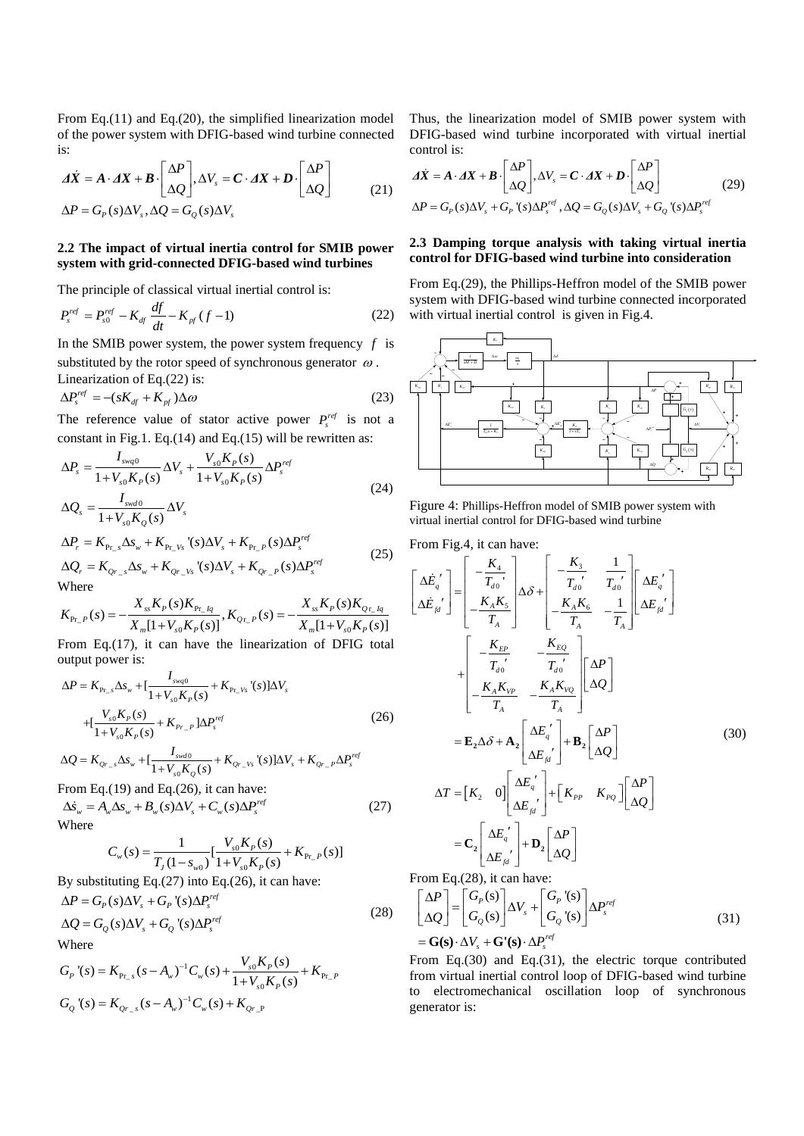From Eq.(11) and Eq.(20), the simplified linearization model of the power system with DFIG-based wind turbine connected is:

is:  
\n
$$
\mathbf{\Delta}\dot{\mathbf{X}} = \mathbf{A} \cdot \mathbf{\Delta}\mathbf{X} + \mathbf{B} \cdot \begin{bmatrix} \Delta P \\ \Delta Q \end{bmatrix}, \Delta V_s = \mathbf{C} \cdot \mathbf{\Delta}\mathbf{X} + \mathbf{D} \cdot \begin{bmatrix} \Delta P \\ \Delta Q \end{bmatrix}
$$
\n
$$
\Delta P = G_P(s) \Delta V_s, \Delta Q = G_Q(s) \Delta V_s
$$
\n(21)

#### **2.2 The impact of virtual inertia control for SMIB power system with grid-connected DFIG-based wind turbines**

The principle of classical virtual inertial control is:

$$
P_{s}^{ref} = P_{s0}^{ref} - K_{df} \frac{df}{dt} - K_{pf} (f - 1)
$$
 (22)

In the SMIB power system, the power system frequency *f* is substituted by the rotor speed of synchronous generator  $\omega$ . Linearization of Eq.(22) is:

$$
\Delta P_s^{ref} = -(sK_{df} + K_{pf})\Delta\omega
$$
\n(23)

The reference value of stator active power  $P_s^{ref}$  is not a

constant in Fig.1. Eq.(14) and Eq.(15) will be rewritten as:  
\n
$$
\Delta P_s = \frac{I_{swq0}}{1 + V_{s0}K_P(s)} \Delta V_s + \frac{V_{s0}K_P(s)}{1 + V_{s0}K_P(s)} \Delta P_s^{ref}
$$
\n
$$
\Delta Q_s = \frac{I_{swd0}}{1 + V_{s0}K_Q(s)} \Delta V_s
$$
\n(24)

$$
1 + V_{s0}K_Q(s)
$$
  
\n
$$
\Delta P_r = K_{\text{Pr}_s} \Delta s_w + K_{\text{Pr}_s} V_s (s) \Delta V_s + K_{\text{Pr}_s} \rho(s) \Delta P_s^{ref}
$$
  
\n
$$
\Delta Q_r = K_{Qr_s} \Delta s_w + K_{Qr_s} V_s (s) \Delta V_s + K_{Qr_s} \rho(s) \Delta P_s^{ref}
$$
\n(25)

Where

$$
K_{p_{r_-}p}(s) = -\frac{X_{ss}K_p(s)K_{p_{r_-}l_q}}{X_m[1+V_{s0}K_p(s)]}, K_{q_{r_-}p}(s) = -\frac{X_{ss}K_p(s)K_{q_{r_-}l_q}}{X_m[1+V_{s0}K_p(s)]}
$$

From Eq.(17), it can have the linearization of DFIG total output power is:

output power is:  
\n
$$
\Delta P = K_{P_{L,s}} \Delta s_w + \left[ \frac{I_{swq0}}{1 + V_{s0} K_P(s)} + K_{P_{L,Vs}}'(s) \right] \Delta V_s
$$
\n
$$
+ \left[ \frac{V_{s0} K_P(s)}{1 + V_{s0} K_P(s)} + K_{P_{L,P}} \right] \Delta P_s^{ref}
$$
\n
$$
\Delta Q = K_{Q_{L,s}} \Delta s_w + \left[ \frac{I_{swd0}}{1 + V_{L,K}(s)} + K_{Q_{L,Vs}}'(s) \right] \Delta V_s + K_{Q_{L,P}} \Delta P_s^{ref}
$$
\n(26)

$$
1 + V_{s0}K_P(s)
$$
  
\n
$$
\Delta Q = K_{Q_{r-s}}\Delta s_w + \left[\frac{I_{swd0}}{1 + V_{s0}K_Q(s)} + K_{Q_{r-s}v_s}(s)\right]\Delta V_s + K_{Q_{r-s}}\Delta P_s^{ref}
$$

From Eq.(19) and Eq.(26), it can have:  
\n
$$
\Delta \dot{s}_{w} = A_{w} \Delta s_{w} + B_{w} (s) \Delta V_{s} + C_{w} (s) \Delta P_{s}^{ref}
$$
\n(27)  
\nWhere  
\n
$$
C_{s} (s) = \frac{1}{\sqrt{1 - \frac{V_{s0} K_{P}(s)}{V_{s0} V_{s}} + K_{s}} \Delta s}
$$

$$
C_w(s) = \frac{1}{T_J(1 - s_{w0})} \left[ \frac{V_{s0}K_p(s)}{1 + V_{s0}K_p(s)} + K_{P_{r\_P}}(s) \right]
$$

By substituting Eq.(27) into Eq.(26), it can have:

$$
\Delta P = G_P(s)\Delta V_s + G_P'(s)\Delta P_s^{ref}
$$
  
\n
$$
\Delta Q = G_Q(s)\Delta V_s + G_Q'(s)\Delta P_s^{ref}
$$
\n(28)

Where

Where  
\n
$$
G_P^{\prime}(s) = K_{P_{L,s}}(s - A_w)^{-1}C_w(s) + \frac{V_{s0}K_P(s)}{1 + V_{s0}K_P(s)} + K_{P_{L,P}}
$$
\n
$$
G_Q^{\prime}(s) = K_{Q_{L,s}}(s - A_w)^{-1}C_w(s) + K_{Q_{L,P}}
$$

Thus, the linearization model of SMIB power system with DFIG-based wind turbine incorporated with virtual inertial control is:

control is:  
\n
$$
\Delta \vec{X} = A \cdot \Delta X + B \cdot \begin{bmatrix} \Delta P \\ \Delta Q \end{bmatrix}, \Delta V_s = C \cdot \Delta X + D \cdot \begin{bmatrix} \Delta P \\ \Delta Q \end{bmatrix}
$$
\n
$$
\Delta P = G_p(s) \Delta V_s + G_p \cdot (s) \Delta P_s^{ref}, \Delta Q = G_Q(s) \Delta V_s + G_Q \cdot (s) \Delta P_s^{ref}
$$
\n(29)

## **2.3 Damping torque analysis with taking virtual inertia control for DFIG-based wind turbine into consideration**

From Eq.(29), the Phillips-Heffron model of the SMIB power system with DFIG-based wind turbine connected incorporated with virtual inertial control is given in Fig.4.



Figure 4: Phillips-Heffron model of SMIB power system with virtual inertial control for DFIG-based wind turbine

From Fig.4, it can have:  
\n
$$
\begin{bmatrix}\n\Delta \dot{E}_{q'}\n\end{bmatrix} = \begin{bmatrix}\n-\frac{K_{4}}{T_{a0}} \\
-\frac{K_{4}K_{5}}{T_{A}}\n\end{bmatrix}\n\Delta \delta + \begin{bmatrix}\n-\frac{K_{3}}{T_{a0}} & \frac{1}{T_{a0}} \\
-\frac{K_{A}K_{6}}{T_{A}} & -\frac{1}{T_{A}}\n\end{bmatrix}\n\Delta E_{q'}\n\begin{bmatrix}\n\Delta E_{q'}\n\end{bmatrix}
$$
\n
$$
+ \begin{bmatrix}\n-\frac{K_{EP}}{T_{a0}} & -\frac{K_{EQ}}{T_{a0}} \\
-\frac{K_{A}K_{VP}}{T_{A}} & -\frac{K_{A}K_{VQ}}{T_{A}}\n\end{bmatrix}\n\Delta P
$$
\n
$$
= \mathbf{E}_{2}\Delta \delta + \mathbf{A}_{2}\begin{bmatrix}\n\Delta E_{q'} \\
\Delta E_{q'}\n\end{bmatrix} + \mathbf{B}_{2}\begin{bmatrix}\n\Delta P \\
\Delta Q\n\end{bmatrix}
$$
\n
$$
\Delta T = \begin{bmatrix}\nK_{2} & 0\n\end{bmatrix}\n\begin{bmatrix}\n\Delta E_{q'} \\
\Delta E_{q'}\n\end{bmatrix} + \begin{bmatrix}\nK_{PP} & K_{PQ}\n\end{bmatrix}\n\begin{bmatrix}\n\Delta P \\
\Delta Q\n\end{bmatrix}
$$
\n
$$
= \mathbf{C}_{2}\begin{bmatrix}\n\Delta E_{q'} \\
\Delta E_{q'}\n\end{bmatrix} + \mathbf{D}_{2}\begin{bmatrix}\n\Delta P \\
\Delta Q\n\end{bmatrix}
$$
\n
$$
= \mathbf{C}_{2}\begin{bmatrix}\n\Delta E_{q'} \\
\Delta E_{q'}\n\end{bmatrix} + \mathbf{D}_{2}\begin{bmatrix}\n\Delta P \\
\Delta Q\n\end{bmatrix}
$$

From Eq.(28), it can have:  
\n
$$
\begin{bmatrix}\n\Delta P \\
\Delta Q\n\end{bmatrix} = \begin{bmatrix}\nG_P(s) \\
G_Q(s)\n\end{bmatrix} \Delta V_s + \begin{bmatrix}\nG_P'(s) \\
G_Q'(s)\n\end{bmatrix} \Delta P_s^{ref}
$$
\n
$$
= \mathbf{G(s)} \cdot \Delta V_s + \mathbf{G'(s)} \cdot \Delta P_s^{ref}
$$
\n(31)

From Eq.(30) and Eq.(31), the electric torque contributed from virtual inertial control loop of DFIG-based wind turbine to electromechanical oscillation loop of synchronous generator is: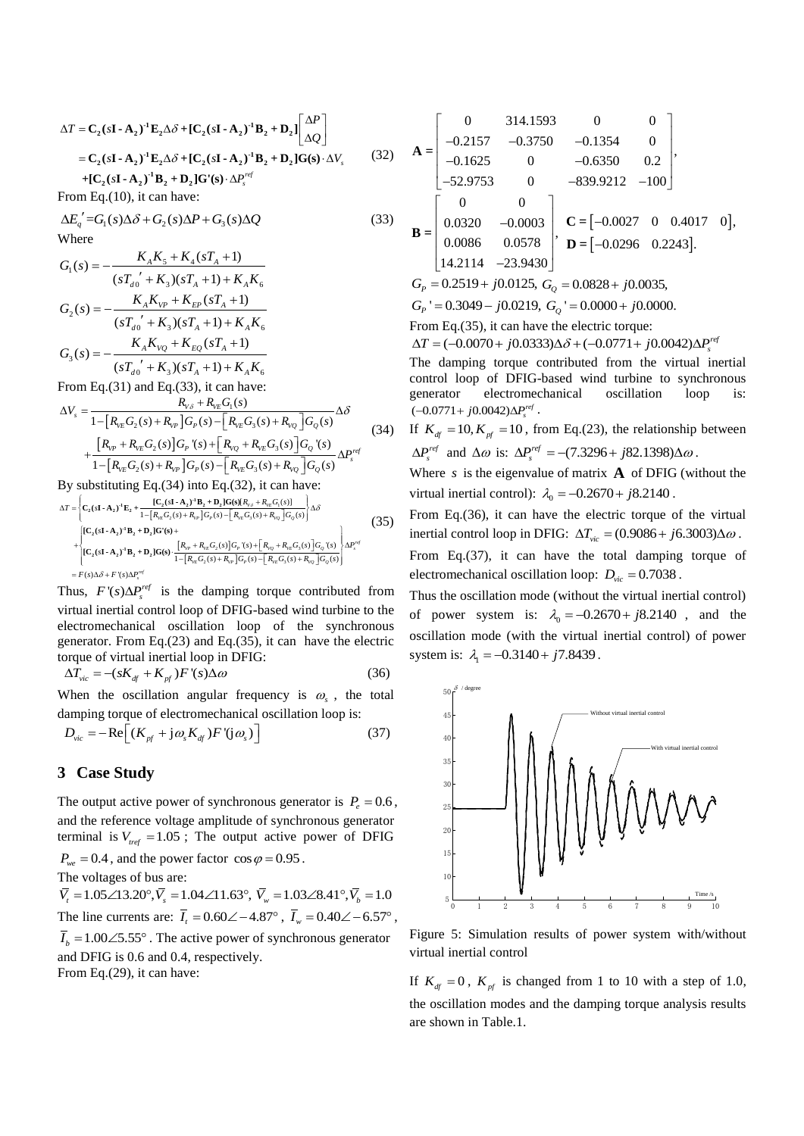$$
\Delta T = \mathbf{C}_2 (s\mathbf{I} \cdot \mathbf{A}_2)^1 \mathbf{E}_2 \Delta \delta + [\mathbf{C}_2 (s\mathbf{I} \cdot \mathbf{A}_2)^1 \mathbf{B}_2 + \mathbf{D}_2] \begin{bmatrix} \Delta P \\ \Delta Q \end{bmatrix}
$$
  
=  $\mathbf{C}_2 (s\mathbf{I} \cdot \mathbf{A}_2)^1 \mathbf{E}_2 \Delta \delta + [\mathbf{C}_2 (s\mathbf{I} \cdot \mathbf{A}_2)^1 \mathbf{B}_2 + \mathbf{D}_2] \mathbf{G}(s) \cdot \Delta V_s$  (32)  
+  $[\mathbf{C}_2 (s\mathbf{I} \cdot \mathbf{A}_2)^1 \mathbf{B}_2 + \mathbf{D}_2] \mathbf{G}'(s) \cdot \Delta P_s^{ref}$ 

From Eq.(10), it can have:

$$
\Delta E'_q = G_1(s)\Delta \delta + G_2(s)\Delta P + G_3(s)\Delta Q
$$
\n(33)  
\nWhere  
\n
$$
G_1(s) = -\frac{K_A K_5 + K_4(sT_A + 1)}{s^2 + 2(sT_A + 1)}
$$

where  
\n
$$
G_1(s) = -\frac{K_A K_5 + K_4(sT_A + 1)}{(sT_{d0}^{\prime} + K_3)(sT_A + 1) + K_A K_6}
$$
\n
$$
G_2(s) = -\frac{K_A K_{VP} + K_{EP}(sT_A + 1)}{(sT_{d0}^{\prime} + K_3)(sT_A + 1) + K_A K_6}
$$
\n
$$
G_3(s) = -\frac{K_A K_{VQ} + K_{EQ}(sT_A + 1)}{(sT_{d0}^{\prime} + K_3)(sT_A + 1) + K_A K_6}
$$
\nFrom Eq.(31) and Eq.(33), it can have:  
\n
$$
\Delta V_s = \frac{R_{V\delta} + R_{VEG}(s)}{1 - K_{V\delta} + K_{VEG}(s)}
$$

From Eq.(31) and Eq.(33), it can have:

From Eq.(31) and Eq.(33), it can have:  
\n
$$
\Delta V_s = \frac{R_{v\delta} + R_{vE}G_1(s)}{1 - [R_{vE}G_2(s) + R_{vP}]G_P(s) - [R_{vE}G_3(s) + R_{vQ}]G_Q(s)} \Delta \delta
$$
\n
$$
+ \frac{[R_{vP} + R_{vE}G_2(s)]G_P'(s) + [R_{vQ} + R_{vE}G_3(s)]G_Q'(s)}{1 - [R_{vE}G_2(s) + R_{vP}]G_P(s) - [R_{vE}G_3(s) + R_{vQ}]G_Q(s)} \Delta P_s^{ref}
$$
\n(34)

By substituting Eq.(34) into Eq.(32), it can have:  
\n
$$
\Delta T = \left\{ C_2 (s\mathbf{I} \cdot \mathbf{A}_2)^1 E_2 + \frac{[C_2(s\mathbf{I} \cdot \mathbf{A}_2)^1 B_2 + D_2] G(s)[R_{v,s} + R_{v,c} G_s(s)]}{1 - [R_{v,c} G_2(s) + R_{v,c}] G_p(s) - [R_{v,c} G_s(s) + R_{v,c}] G_p(s)} \right\} \Delta \delta
$$
\n
$$
+ \left\{ \begin{aligned} [C_2(s\mathbf{I} \cdot \mathbf{A}_2)^1 B_2 + D_2] G'(s) + \\ [C_2(s\mathbf{I} \cdot \mathbf{A}_2)^1 B_2 + D_2] G(s) + \frac{[R_{v,c} + R_{v,c} G_2(s)] G_p(s) + [R_{v,c} G_s(s)] G_p(s)}{1 - [R_{v,c} G_2(s) + R_{v,c}] G_p(s) - [R_{v,c} G_3(s) + R_{v,c}] G_q(s)} \right\} \Delta P'' \\ &= F(s) \Delta \delta + F(s) \Delta P''' \end{aligned} \tag{35}
$$

Thus,  $F'(s) \Delta P_s^{ref}$  is the damping torque contributed from virtual inertial control loop of DFIG-based wind turbine to the electromechanical oscillation loop of the synchronous generator. From Eq.(23) and Eq.(35), it can have the electric

torque of virtual inertial loop in DFIG:  
\n
$$
\Delta T_{\text{vic}} = -(sK_{\text{df}} + K_{\text{pf}})F'(s)\Delta\omega
$$
\n(36)

When the oscillation angular frequency is  $\omega_s$ , the total

damping torque of electromagnetic oscillation loop is:  
\n
$$
D_{\text{vic}} = -\text{Re}\Big[ (K_{\text{pf}} + j\omega_s K_{\text{df}}) F' (j\omega_s) \Big] \tag{37}
$$

# **3 Case Study**

The output active power of synchronous generator is  $P_e = 0.6$ , and the reference voltage amplitude of synchronous generator terminal is  $V_{ref} = 1.05$ ; The output active power of DFIG  $P_{we} = 0.4$ , and the power factor  $\cos \varphi = 0.95$ .

The voltages of bus are:

 $\overline{V}_t = 1.05 \angle 13.20^\circ$ ,  $\overline{V}_s = 1.04 \angle 11.63^\circ$ ,  $\overline{V}_w = 1.03 \angle 8.41^\circ$ ,  $\overline{V}_b = 1.0$ The line currents are:  $\overline{I}_t = 0.60 \angle -4.87^\circ$ ,  $\overline{I}_w = 0.40 \angle -6.57^\circ$ ,

 $\overline{I}_b = 1.00 \angle 5.55^\circ$ . The active power of synchronous generator and DFIG is 0.6 and 0.4, respectively.

From Eq.(29), it can have:

$$
\mathbf{A} = \begin{bmatrix} 0 & 314.1593 & 0 & 0 \\ -0.2157 & -0.3750 & -0.1354 & 0 \\ -0.1625 & 0 & -0.6350 & 0.2 \\ -52.9753 & 0 & -839.9212 & -100 \end{bmatrix},
$$

$$
\mathbf{B} = \begin{bmatrix} 0 & 0 \\ 0.0320 & -0.0003 \\ 0.0086 & 0.0578 \\ 14.2114 & -23.9430 \end{bmatrix}, \quad \mathbf{C} = [-0.0027 \quad 0 \quad 0.4017 \quad 0],
$$

$$
G_P = 0.2519 + j0.0125, \quad G_Q = 0.0828 + j0.0035,
$$

$$
G_P' = 0.3049 - j0.0219, \quad G_Q' = 0.0000 + j0.0000.
$$

From Eq.(35), it can have the electric torque:  $\Delta T = (-0.0070 + j0.0333)\Delta\delta + (-0.0771 + j0.0042)\Delta P_i^{ref}$ 

The damping torque contributed from the virtual inertial control loop of DFIG-based wind turbine to synchronous generator electromechanical oscillation loop is:  $(-0.0771 + j0.0042)\Delta P_s^{ref}$ .

(34) If  $K_{df} = 10, K_{pf} = 10$ , from Eq.(23), the relationship between  $\Delta P_s^{ref}$  and  $\Delta \omega$  is:  $\Delta P_s^{ref} = -(7.3296 + j82.1398) \Delta \omega$ .

> Where  $s$  is the eigenvalue of matrix  $\bf{A}$  of DFIG (without the virtual inertial control):  $\lambda_0 = -0.2670 + j8.2140$ .

From Eq.(36), it can have the electric torque of the virtual inertial control loop in DFIG:  $\Delta T_{\text{vic}} = (0.9086 + j6.3003) \Delta \omega$ .

From Eq.(37), it can have the total damping torque of electromechanical oscillation loop:  $D_{\text{vic}} = 0.7038$ .

Thus the oscillation mode (without the virtual inertial control) of power system is:  $\lambda_0 = -0.2670 + j8.2140$ , and the oscillation mode (with the virtual inertial control) of power system is:  $\lambda_1 = -0.3140 + j7.8439$ .



Figure 5: Simulation results of power system with/without virtual inertial control

If  $K_{df} = 0$ ,  $K_{pf}$  is changed from 1 to 10 with a step of 1.0, the oscillation modes and the damping torque analysis results are shown in Table.1.